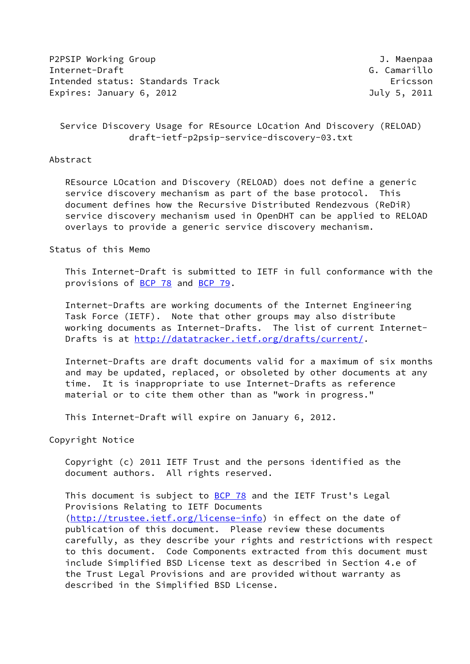P2PSIP Working Group and the state of the state of the state of the state of the state of the state of the state of the state of the state of the state of the state of the state of the state of the state of the state of th Internet-Draft G. Camarillo Intended status: Standards Track Ericsson Expires: January 6, 2012 **1998** July 5, 2011

# Service Discovery Usage for REsource LOcation And Discovery (RELOAD) draft-ietf-p2psip-service-discovery-03.txt

### Abstract

 REsource LOcation and Discovery (RELOAD) does not define a generic service discovery mechanism as part of the base protocol. This document defines how the Recursive Distributed Rendezvous (ReDiR) service discovery mechanism used in OpenDHT can be applied to RELOAD overlays to provide a generic service discovery mechanism.

### Status of this Memo

 This Internet-Draft is submitted to IETF in full conformance with the provisions of [BCP 78](https://datatracker.ietf.org/doc/pdf/bcp78) and [BCP 79](https://datatracker.ietf.org/doc/pdf/bcp79).

 Internet-Drafts are working documents of the Internet Engineering Task Force (IETF). Note that other groups may also distribute working documents as Internet-Drafts. The list of current Internet- Drafts is at<http://datatracker.ietf.org/drafts/current/>.

 Internet-Drafts are draft documents valid for a maximum of six months and may be updated, replaced, or obsoleted by other documents at any time. It is inappropriate to use Internet-Drafts as reference material or to cite them other than as "work in progress."

This Internet-Draft will expire on January 6, 2012.

Copyright Notice

 Copyright (c) 2011 IETF Trust and the persons identified as the document authors. All rights reserved.

This document is subject to **[BCP 78](https://datatracker.ietf.org/doc/pdf/bcp78)** and the IETF Trust's Legal Provisions Relating to IETF Documents [\(http://trustee.ietf.org/license-info](http://trustee.ietf.org/license-info)) in effect on the date of publication of this document. Please review these documents carefully, as they describe your rights and restrictions with respect to this document. Code Components extracted from this document must include Simplified BSD License text as described in Section 4.e of the Trust Legal Provisions and are provided without warranty as described in the Simplified BSD License.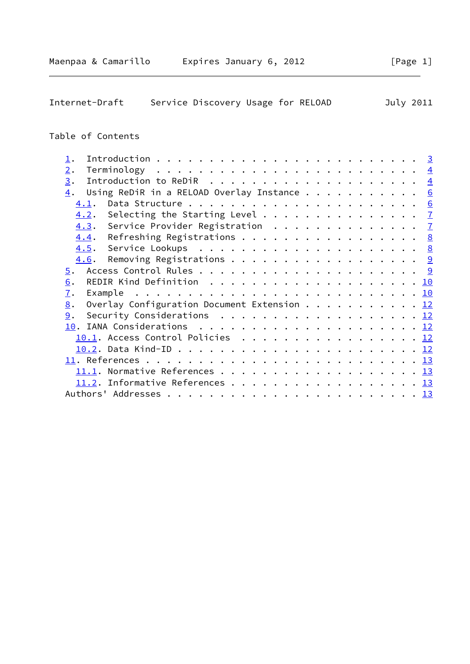| Table of Contents                                 |  |   |
|---------------------------------------------------|--|---|
|                                                   |  |   |
| ⊥.                                                |  |   |
| 2.                                                |  |   |
| 3.                                                |  |   |
| Using ReDiR in a RELOAD Overlay Instance<br>4.    |  | 6 |
| 4.1.                                              |  | 6 |
| 4.2. Selecting the Starting Level $\frac{7}{2}$   |  |   |
| 4.3. Service Provider Registration 7              |  |   |
| Refreshing Registrations 8<br>4.4.                |  |   |
|                                                   |  |   |
| 4.6.                                              |  |   |
| $\overline{5}$ .                                  |  |   |
| 6.                                                |  |   |
| $\overline{1}$ .                                  |  |   |
| Overlay Configuration Document Extension 12<br>8. |  |   |
| Security Considerations $\cdots$ 12<br>9.         |  |   |
| IANA Considerations<br><u> 10</u> .               |  |   |

[10.1](#page-13-1). Access Control Policies . . . . . . . . . . . . . . . . [12](#page-12-1) [10.2](#page-13-2). Data Kind-ID . . . . . . . . . . . . . . . . . . . . . . . [12](#page-12-1) [11](#page-13-3). References . . . . . . . . . . . . . . . . . . . . . . . . . . [13](#page-13-4) [11.1](#page-13-5). Normative References . . . . . . . . . . . . . . . . . . . [13](#page-13-4)  $11.2$ . Informative References . . . . . . . . . . . . . . . . . . [13](#page-13-4) Authors' Addresses . . . . . . . . . . . . . . . . . . . . . . . . [13](#page-13-4)

Internet-Draft Service Discovery Usage for RELOAD July 2011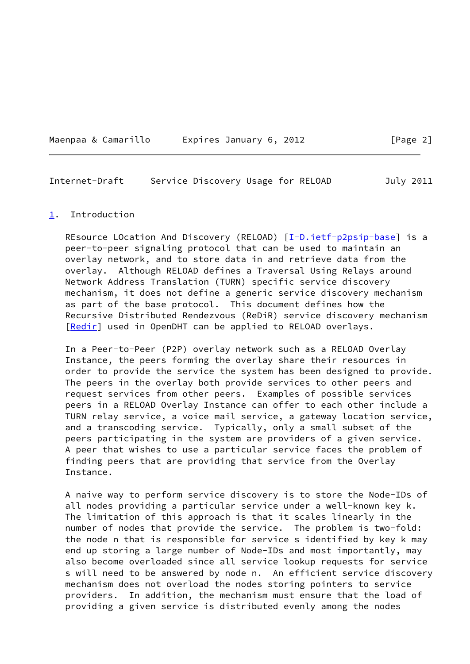|  | Maenpaa & Camarillo | Expires January 6, 2012 |  |  |
|--|---------------------|-------------------------|--|--|
|  |                     |                         |  |  |

<span id="page-2-1"></span>Internet-Draft Service Discovery Usage for RELOAD July 2011

#### <span id="page-2-0"></span>[1](#page-2-0). Introduction

REsource LOcation And Discovery (RELOAD) [\[I-D.ietf-p2psip-base](#page-13-6)] is a peer-to-peer signaling protocol that can be used to maintain an overlay network, and to store data in and retrieve data from the overlay. Although RELOAD defines a Traversal Using Relays around Network Address Translation (TURN) specific service discovery mechanism, it does not define a generic service discovery mechanism as part of the base protocol. This document defines how the Recursive Distributed Rendezvous (ReDiR) service discovery mechanism [\[Redir](#page-14-1)] used in OpenDHT can be applied to RELOAD overlays.

 In a Peer-to-Peer (P2P) overlay network such as a RELOAD Overlay Instance, the peers forming the overlay share their resources in order to provide the service the system has been designed to provide. The peers in the overlay both provide services to other peers and request services from other peers. Examples of possible services peers in a RELOAD Overlay Instance can offer to each other include a TURN relay service, a voice mail service, a gateway location service, and a transcoding service. Typically, only a small subset of the peers participating in the system are providers of a given service. A peer that wishes to use a particular service faces the problem of finding peers that are providing that service from the Overlay Instance.

 A naive way to perform service discovery is to store the Node-IDs of all nodes providing a particular service under a well-known key k. The limitation of this approach is that it scales linearly in the number of nodes that provide the service. The problem is two-fold: the node n that is responsible for service s identified by key k may end up storing a large number of Node-IDs and most importantly, may also become overloaded since all service lookup requests for service s will need to be answered by node n. An efficient service discovery mechanism does not overload the nodes storing pointers to service providers. In addition, the mechanism must ensure that the load of providing a given service is distributed evenly among the nodes

 $\lceil$  Page 2]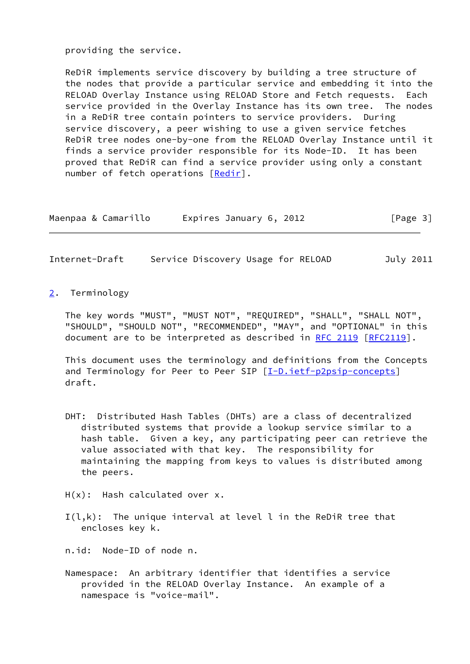providing the service.

 ReDiR implements service discovery by building a tree structure of the nodes that provide a particular service and embedding it into the RELOAD Overlay Instance using RELOAD Store and Fetch requests. Each service provided in the Overlay Instance has its own tree. The nodes in a ReDiR tree contain pointers to service providers. During service discovery, a peer wishing to use a given service fetches ReDiR tree nodes one-by-one from the RELOAD Overlay Instance until it finds a service provider responsible for its Node-ID. It has been proved that ReDiR can find a service provider using only a constant number of fetch operations [[Redir\]](#page-14-1).

| Maenpaa & Camarillo | Expires January 6, 2012 | [Page 3] |
|---------------------|-------------------------|----------|
|---------------------|-------------------------|----------|

<span id="page-3-1"></span>Internet-Draft Service Discovery Usage for RELOAD July 2011

<span id="page-3-0"></span>[2](#page-3-0). Terminology

 The key words "MUST", "MUST NOT", "REQUIRED", "SHALL", "SHALL NOT", "SHOULD", "SHOULD NOT", "RECOMMENDED", "MAY", and "OPTIONAL" in this document are to be interpreted as described in [RFC 2119 \[RFC2119](https://datatracker.ietf.org/doc/pdf/rfc2119)].

 This document uses the terminology and definitions from the Concepts and Terminology for Peer to Peer SIP [\[I-D.ietf-p2psip-concepts](#page-14-2)] draft.

- DHT: Distributed Hash Tables (DHTs) are a class of decentralized distributed systems that provide a lookup service similar to a hash table. Given a key, any participating peer can retrieve the value associated with that key. The responsibility for maintaining the mapping from keys to values is distributed among the peers.
- H(x): Hash calculated over x.
- $I(l,k)$ : The unique interval at level l in the ReDiR tree that encloses key k.
- n.id: Node-ID of node n.
- Namespace: An arbitrary identifier that identifies a service provided in the RELOAD Overlay Instance. An example of a namespace is "voice-mail".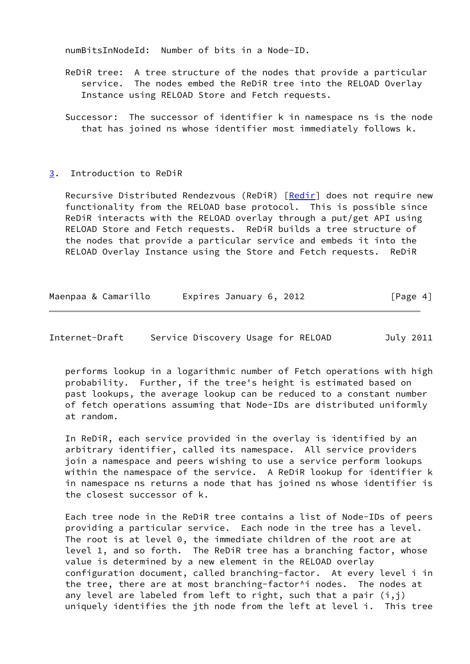numBitsInNodeId: Number of bits in a Node-ID.

- ReDiR tree: A tree structure of the nodes that provide a particular service. The nodes embed the ReDiR tree into the RELOAD Overlay Instance using RELOAD Store and Fetch requests.
- Successor: The successor of identifier k in namespace ns is the node that has joined ns whose identifier most immediately follows k.

#### <span id="page-4-0"></span>[3](#page-4-0). Introduction to ReDiR

Recursive Distributed Rendezvous (ReDiR) [\[Redir\]](#page-14-1) does not require new functionality from the RELOAD base protocol. This is possible since ReDiR interacts with the RELOAD overlay through a put/get API using RELOAD Store and Fetch requests. ReDiR builds a tree structure of the nodes that provide a particular service and embeds it into the RELOAD Overlay Instance using the Store and Fetch requests. ReDiR

| Maenpaa & Camarillo | Expires January 6, 2012 | [Page 4] |
|---------------------|-------------------------|----------|
|---------------------|-------------------------|----------|

Internet-Draft Service Discovery Usage for RELOAD July 2011

 performs lookup in a logarithmic number of Fetch operations with high probability. Further, if the tree's height is estimated based on past lookups, the average lookup can be reduced to a constant number of fetch operations assuming that Node-IDs are distributed uniformly at random.

 In ReDiR, each service provided in the overlay is identified by an arbitrary identifier, called its namespace. All service providers join a namespace and peers wishing to use a service perform lookups within the namespace of the service. A ReDiR lookup for identifier k in namespace ns returns a node that has joined ns whose identifier is the closest successor of k.

 Each tree node in the ReDiR tree contains a list of Node-IDs of peers providing a particular service. Each node in the tree has a level. The root is at level 0, the immediate children of the root are at level 1, and so forth. The ReDiR tree has a branching factor, whose value is determined by a new element in the RELOAD overlay configuration document, called branching-factor. At every level i in the tree, there are at most branching-factor^i nodes. The nodes at any level are labeled from left to right, such that a pair  $(i,j)$ uniquely identifies the jth node from the left at level i. This tree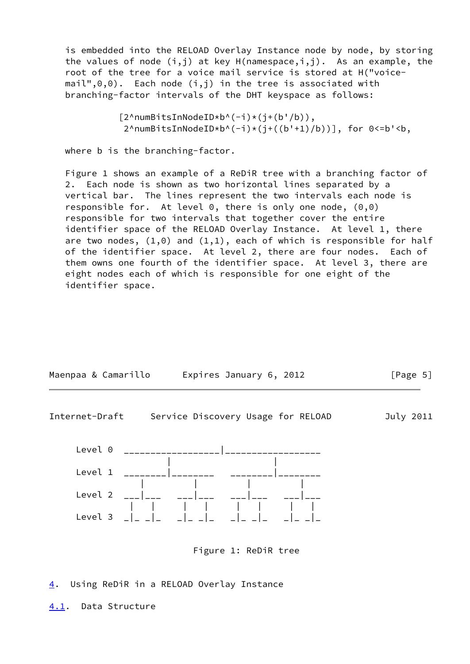is embedded into the RELOAD Overlay Instance node by node, by storing the values of node  $(i,j)$  at key  $H(namespace,i,j)$ . As an example, the root of the tree for a voice mail service is stored at H("voice  $mail", 0, 0)$ . Each node  $(i, j)$  in the tree is associated with branching-factor intervals of the DHT keyspace as follows:

> [2^numBitsInNodeID\*b^(-i)\*(j+(b'/b)),  $2^{\wedge}$ numBitsInNodeID\*b^(-i)\*(j+((b'+1)/b))], for 0<=b'<br/>b,

where b is the branching-factor.

 Figure 1 shows an example of a ReDiR tree with a branching factor of 2. Each node is shown as two horizontal lines separated by a vertical bar. The lines represent the two intervals each node is responsible for. At level  $0$ , there is only one node,  $(0,0)$  responsible for two intervals that together cover the entire identifier space of the RELOAD Overlay Instance. At level 1, there are two nodes,  $(1,0)$  and  $(1,1)$ , each of which is responsible for half of the identifier space. At level 2, there are four nodes. Each of them owns one fourth of the identifier space. At level 3, there are eight nodes each of which is responsible for one eight of the identifier space.

<span id="page-5-1"></span>

<span id="page-5-0"></span>[4](#page-5-0). Using ReDiR in a RELOAD Overlay Instance

<span id="page-5-2"></span>[4.1](#page-5-2). Data Structure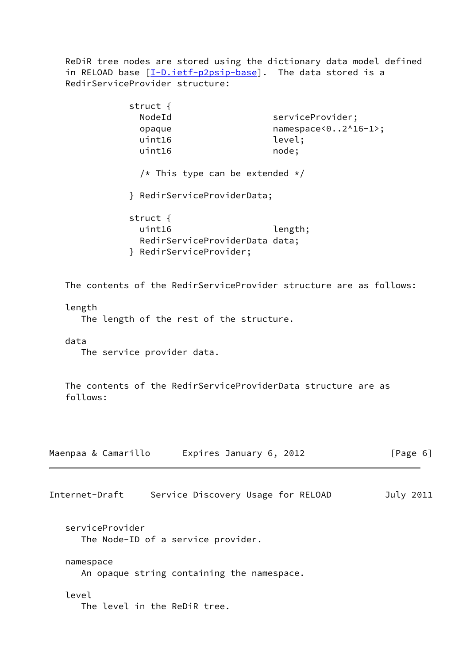ReDiR tree nodes are stored using the dictionary data model defined in RELOAD base [\[I-D.ietf-p2psip-base](#page-13-6)]. The data stored is a RedirServiceProvider structure:

<span id="page-6-0"></span>

|                     | struct $\{$<br>NodeId<br>opaque<br>uint16<br>uint16 | serviceProvider;<br>namespace<02^16-1>;<br>level;<br>node;         |           |
|---------------------|-----------------------------------------------------|--------------------------------------------------------------------|-----------|
|                     |                                                     | /* This type can be extended $*/$                                  |           |
|                     | } RedirServiceProviderData;                         |                                                                    |           |
|                     | struct $\{$<br>uint16<br>} RedirServiceProvider;    | length;<br>RedirServiceProviderData data;                          |           |
|                     |                                                     | The contents of the RedirServiceProvider structure are as follows: |           |
| length              | The length of the rest of the structure.            |                                                                    |           |
| data                | The service provider data.                          |                                                                    |           |
| follows:            |                                                     | The contents of the RedirServiceProviderData structure are as      |           |
| Maenpaa & Camarillo |                                                     | Expires January 6, 2012                                            | [Page 6]  |
| Internet-Draft      |                                                     | Service Discovery Usage for RELOAD                                 | July 2011 |
| serviceProvider     | The Node-ID of a service provider.                  |                                                                    |           |
| namespace           | An opaque string containing the namespace.          |                                                                    |           |
| level               | The level in the ReDiR tree.                        |                                                                    |           |
|                     |                                                     |                                                                    |           |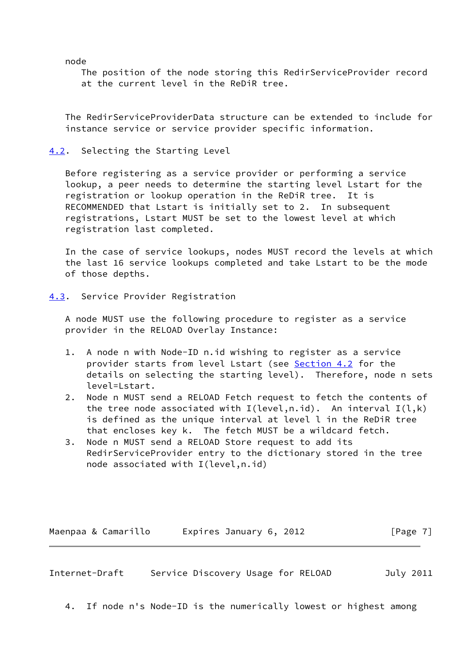node

 The position of the node storing this RedirServiceProvider record at the current level in the ReDiR tree.

 The RedirServiceProviderData structure can be extended to include for instance service or service provider specific information.

<span id="page-7-0"></span>[4.2](#page-7-0). Selecting the Starting Level

 Before registering as a service provider or performing a service lookup, a peer needs to determine the starting level Lstart for the registration or lookup operation in the ReDiR tree. It is RECOMMENDED that Lstart is initially set to 2. In subsequent registrations, Lstart MUST be set to the lowest level at which registration last completed.

 In the case of service lookups, nodes MUST record the levels at which the last 16 service lookups completed and take Lstart to be the mode of those depths.

<span id="page-7-1"></span>[4.3](#page-7-1). Service Provider Registration

 A node MUST use the following procedure to register as a service provider in the RELOAD Overlay Instance:

- 1. A node n with Node-ID n.id wishing to register as a service provider starts from level Lstart (see [Section 4.2](#page-7-0) for the details on selecting the starting level). Therefore, node n sets level=Lstart.
- 2. Node n MUST send a RELOAD Fetch request to fetch the contents of the tree node associated with  $I(level, n.id)$ . An interval  $I(l, k)$  is defined as the unique interval at level l in the ReDiR tree that encloses key k. The fetch MUST be a wildcard fetch.
- 3. Node n MUST send a RELOAD Store request to add its RedirServiceProvider entry to the dictionary stored in the tree node associated with I(level,n.id)

Maenpaa & Camarillo Expires January 6, 2012 [Page 7]

<span id="page-7-2"></span>Internet-Draft Service Discovery Usage for RELOAD July 2011

4. If node n's Node-ID is the numerically lowest or highest among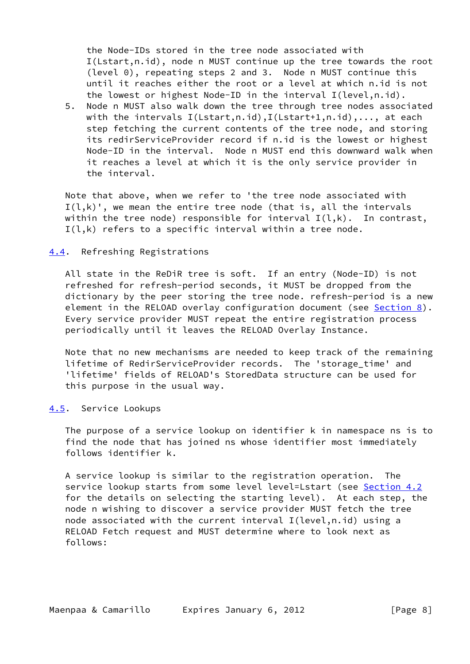the Node-IDs stored in the tree node associated with I(Lstart,n.id), node n MUST continue up the tree towards the root (level 0), repeating steps 2 and 3. Node n MUST continue this until it reaches either the root or a level at which n.id is not the lowest or highest Node-ID in the interval I(level,n.id).

 5. Node n MUST also walk down the tree through tree nodes associated with the intervals I(Lstart,n.id),I(Lstart+1,n.id),..., at each step fetching the current contents of the tree node, and storing its redirServiceProvider record if n.id is the lowest or highest Node-ID in the interval. Node n MUST end this downward walk when it reaches a level at which it is the only service provider in the interval.

 Note that above, when we refer to 'the tree node associated with  $I(l,k)$ ', we mean the entire tree node (that is, all the intervals within the tree node) responsible for interval  $I(l,k)$ . In contrast,  $I(l,k)$  refers to a specific interval within a tree node.

### <span id="page-8-0"></span>[4.4](#page-8-0). Refreshing Registrations

 All state in the ReDiR tree is soft. If an entry (Node-ID) is not refreshed for refresh-period seconds, it MUST be dropped from the dictionary by the peer storing the tree node. refresh-period is a new element in the RELOAD overlay configuration document (see [Section 8\)](#page-12-0). Every service provider MUST repeat the entire registration process periodically until it leaves the RELOAD Overlay Instance.

 Note that no new mechanisms are needed to keep track of the remaining lifetime of RedirServiceProvider records. The 'storage\_time' and 'lifetime' fields of RELOAD's StoredData structure can be used for this purpose in the usual way.

#### <span id="page-8-1"></span>[4.5](#page-8-1). Service Lookups

 The purpose of a service lookup on identifier k in namespace ns is to find the node that has joined ns whose identifier most immediately follows identifier k.

 A service lookup is similar to the registration operation. The service lookup starts from some level level=Lstart (see [Section 4.2](#page-7-0) for the details on selecting the starting level). At each step, the node n wishing to discover a service provider MUST fetch the tree node associated with the current interval I(level,n.id) using a RELOAD Fetch request and MUST determine where to look next as follows: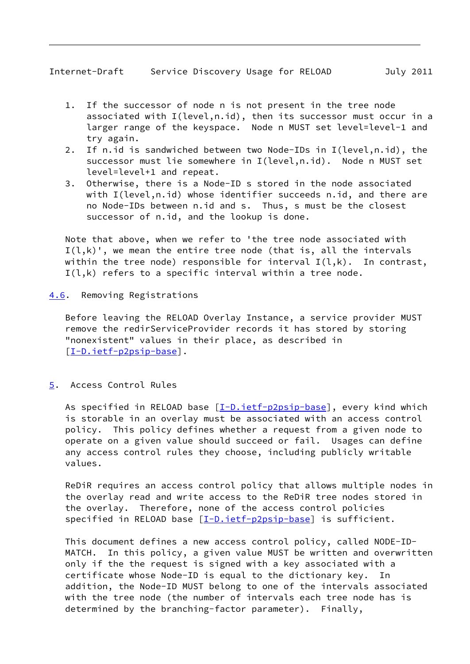- 
- <span id="page-9-1"></span> 1. If the successor of node n is not present in the tree node associated with I(level,n.id), then its successor must occur in a larger range of the keyspace. Node n MUST set level=level-1 and try again.
- 2. If n.id is sandwiched between two Node-IDs in I(level,n.id), the successor must lie somewhere in I(level,n.id). Node n MUST set level=level+1 and repeat.
- 3. Otherwise, there is a Node-ID s stored in the node associated with I(level,n.id) whose identifier succeeds n.id, and there are no Node-IDs between n.id and s. Thus, s must be the closest successor of n.id, and the lookup is done.

 Note that above, when we refer to 'the tree node associated with  $I(l,k)$ ', we mean the entire tree node (that is, all the intervals within the tree node) responsible for interval  $I(l,k)$ . In contrast, I(l,k) refers to a specific interval within a tree node.

<span id="page-9-0"></span>[4.6](#page-9-0). Removing Registrations

 Before leaving the RELOAD Overlay Instance, a service provider MUST remove the redirServiceProvider records it has stored by storing "nonexistent" values in their place, as described in [\[I-D.ietf-p2psip-base](#page-13-6)].

<span id="page-9-2"></span>[5](#page-9-2). Access Control Rules

As specified in RELOAD base [\[I-D.ietf-p2psip-base](#page-13-6)], every kind which is storable in an overlay must be associated with an access control policy. This policy defines whether a request from a given node to operate on a given value should succeed or fail. Usages can define any access control rules they choose, including publicly writable values.

 ReDiR requires an access control policy that allows multiple nodes in the overlay read and write access to the ReDiR tree nodes stored in the overlay. Therefore, none of the access control policies specified in RELOAD base [\[I-D.ietf-p2psip-base](#page-13-6)] is sufficient.

 This document defines a new access control policy, called NODE-ID- MATCH. In this policy, a given value MUST be written and overwritten only if the the request is signed with a key associated with a certificate whose Node-ID is equal to the dictionary key. In addition, the Node-ID MUST belong to one of the intervals associated with the tree node (the number of intervals each tree node has is determined by the branching-factor parameter). Finally,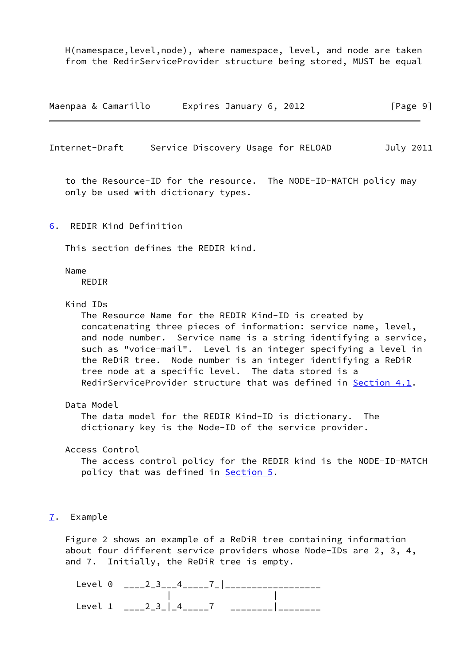H(namespace,level,node), where namespace, level, and node are taken from the RedirServiceProvider structure being stored, MUST be equal

Maenpaa & Camarillo Expires January 6, 2012 [Page 9]

<span id="page-10-1"></span>Internet-Draft Service Discovery Usage for RELOAD July 2011

 to the Resource-ID for the resource. The NODE-ID-MATCH policy may only be used with dictionary types.

<span id="page-10-0"></span>[6](#page-10-0). REDIR Kind Definition

This section defines the REDIR kind.

Name

REDIR

Kind IDs

 The Resource Name for the REDIR Kind-ID is created by concatenating three pieces of information: service name, level, and node number. Service name is a string identifying a service, such as "voice-mail". Level is an integer specifying a level in the ReDiR tree. Node number is an integer identifying a ReDiR tree node at a specific level. The data stored is a RedirServiceProvider structure that was defined in [Section 4.1](#page-5-2).

Data Model

 The data model for the REDIR Kind-ID is dictionary. The dictionary key is the Node-ID of the service provider.

Access Control

 The access control policy for the REDIR kind is the NODE-ID-MATCH policy that was defined in [Section 5.](#page-9-2)

## <span id="page-10-2"></span>[7](#page-10-2). Example

 Figure 2 shows an example of a ReDiR tree containing information about four different service providers whose Node-IDs are 2, 3, 4, and 7. Initially, the ReDiR tree is empty.

Level 0 \_\_\_\_2\_3\_\_\_4\_\_\_\_\_\_7\_|\_\_\_\_\_\_\_\_\_\_\_\_\_\_\_\_\_\_\_\_\_ | | Level 1  $\frac{23}{1}$   $\frac{3}{1}$   $\frac{4}{1}$   $\frac{7}{1}$   $\frac{22}{1}$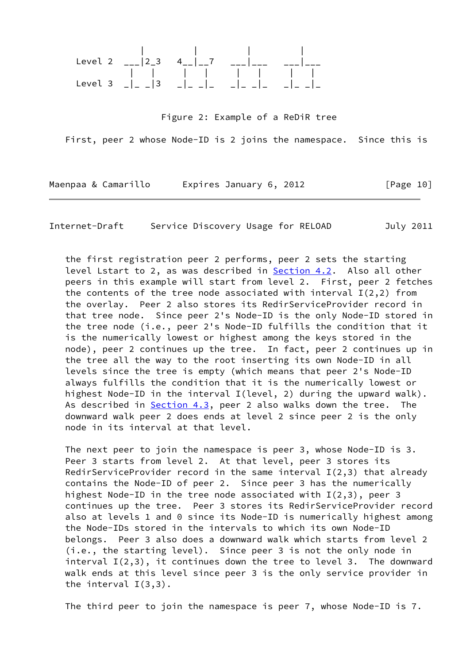

Figure 2: Example of a ReDiR tree

First, peer 2 whose Node-ID is 2 joins the namespace. Since this is

Maenpaa & Camarillo Expires January 6, 2012 [Page 10]

Internet-Draft Service Discovery Usage for RELOAD July 2011

 the first registration peer 2 performs, peer 2 sets the starting level Lstart to 2, as was described in [Section 4.2](#page-7-0). Also all other peers in this example will start from level 2. First, peer 2 fetches the contents of the tree node associated with interval  $I(2,2)$  from the overlay. Peer 2 also stores its RedirServiceProvider record in that tree node. Since peer 2's Node-ID is the only Node-ID stored in the tree node (i.e., peer 2's Node-ID fulfills the condition that it is the numerically lowest or highest among the keys stored in the node), peer 2 continues up the tree. In fact, peer 2 continues up in the tree all the way to the root inserting its own Node-ID in all levels since the tree is empty (which means that peer 2's Node-ID always fulfills the condition that it is the numerically lowest or highest Node-ID in the interval I(level, 2) during the upward walk). As described in [Section 4.3](#page-7-1), peer 2 also walks down the tree. The downward walk peer 2 does ends at level 2 since peer 2 is the only node in its interval at that level.

 The next peer to join the namespace is peer 3, whose Node-ID is 3. Peer 3 starts from level 2. At that level, peer 3 stores its RedirServiceProvider record in the same interval  $I(2,3)$  that already contains the Node-ID of peer 2. Since peer 3 has the numerically highest Node-ID in the tree node associated with  $I(2,3)$ , peer 3 continues up the tree. Peer 3 stores its RedirServiceProvider record also at levels 1 and 0 since its Node-ID is numerically highest among the Node-IDs stored in the intervals to which its own Node-ID belongs. Peer 3 also does a downward walk which starts from level 2 (i.e., the starting level). Since peer 3 is not the only node in interval I(2,3), it continues down the tree to level 3. The downward walk ends at this level since peer 3 is the only service provider in the interval I(3,3).

The third peer to join the namespace is peer 7, whose Node-ID is 7.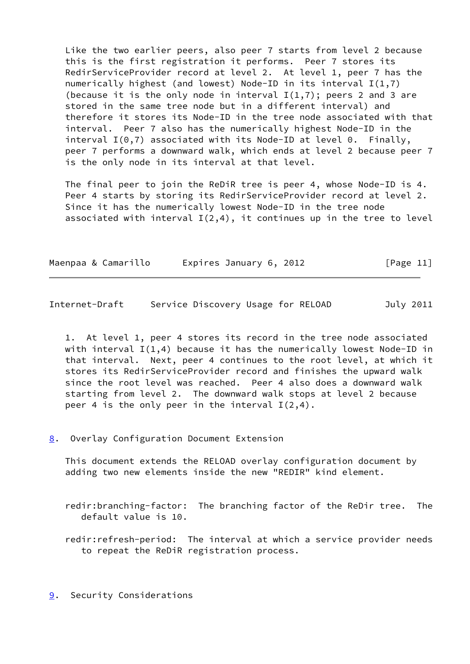Like the two earlier peers, also peer 7 starts from level 2 because this is the first registration it performs. Peer 7 stores its RedirServiceProvider record at level 2. At level 1, peer 7 has the numerically highest (and lowest) Node-ID in its interval  $I(1,7)$ (because it is the only node in interval  $I(1,7)$ ; peers 2 and 3 are stored in the same tree node but in a different interval) and therefore it stores its Node-ID in the tree node associated with that interval. Peer 7 also has the numerically highest Node-ID in the interval  $I(0,7)$  associated with its Node-ID at level 0. Finally, peer 7 performs a downward walk, which ends at level 2 because peer 7 is the only node in its interval at that level.

 The final peer to join the ReDiR tree is peer 4, whose Node-ID is 4. Peer 4 starts by storing its RedirServiceProvider record at level 2. Since it has the numerically lowest Node-ID in the tree node associated with interval  $I(2,4)$ , it continues up in the tree to level

|  | Maenpaa & Camarillo | Expires January 6, 2012 | [Page 11] |
|--|---------------------|-------------------------|-----------|
|--|---------------------|-------------------------|-----------|

<span id="page-12-1"></span>Internet-Draft Service Discovery Usage for RELOAD July 2011

 1. At level 1, peer 4 stores its record in the tree node associated with interval  $I(1,4)$  because it has the numerically lowest Node-ID in that interval. Next, peer 4 continues to the root level, at which it stores its RedirServiceProvider record and finishes the upward walk since the root level was reached. Peer 4 also does a downward walk starting from level 2. The downward walk stops at level 2 because peer 4 is the only peer in the interval  $I(2,4)$ .

<span id="page-12-0"></span>[8](#page-12-0). Overlay Configuration Document Extension

 This document extends the RELOAD overlay configuration document by adding two new elements inside the new "REDIR" kind element.

 redir:branching-factor: The branching factor of the ReDir tree. The default value is 10.

 redir:refresh-period: The interval at which a service provider needs to repeat the ReDiR registration process.

<span id="page-12-2"></span>[9](#page-12-2). Security Considerations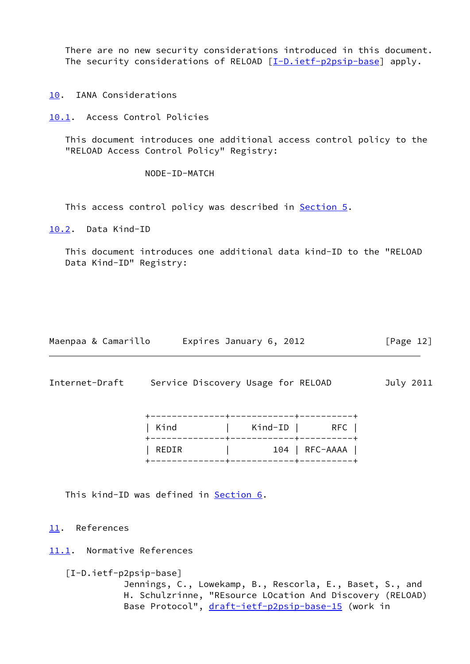There are no new security considerations introduced in this document. The security considerations of RELOAD [[I-D.ietf-p2psip-base\]](#page-13-6) apply.

<span id="page-13-0"></span>[10.](#page-13-0) IANA Considerations

<span id="page-13-1"></span>[10.1](#page-13-1). Access Control Policies

 This document introduces one additional access control policy to the "RELOAD Access Control Policy" Registry:

NODE-ID-MATCH

This access control policy was described in [Section 5.](#page-9-2)

<span id="page-13-2"></span>[10.2](#page-13-2). Data Kind-ID

 This document introduces one additional data kind-ID to the "RELOAD Data Kind-ID" Registry:

| Maenpaa & Camarillo | Expires January 6, 2012 | [Page 12] |
|---------------------|-------------------------|-----------|
|---------------------|-------------------------|-----------|

<span id="page-13-4"></span>Internet-Draft Service Discovery Usage for RELOAD July 2011

| Kind  | Kind-ID  <br>.-----------+------- | RFC            |
|-------|-----------------------------------|----------------|
| REDIR |                                   | 104   RFC-AAAA |
|       |                                   |                |

This kind-ID was defined in **[Section 6.](#page-10-0)** 

<span id="page-13-3"></span>[11.](#page-13-3) References

<span id="page-13-5"></span>[11.1](#page-13-5). Normative References

<span id="page-13-6"></span>[I-D.ietf-p2psip-base]

 Jennings, C., Lowekamp, B., Rescorla, E., Baset, S., and H. Schulzrinne, "REsource LOcation And Discovery (RELOAD) Base Protocol", [draft-ietf-p2psip-base-15](https://datatracker.ietf.org/doc/pdf/draft-ietf-p2psip-base-15) (work in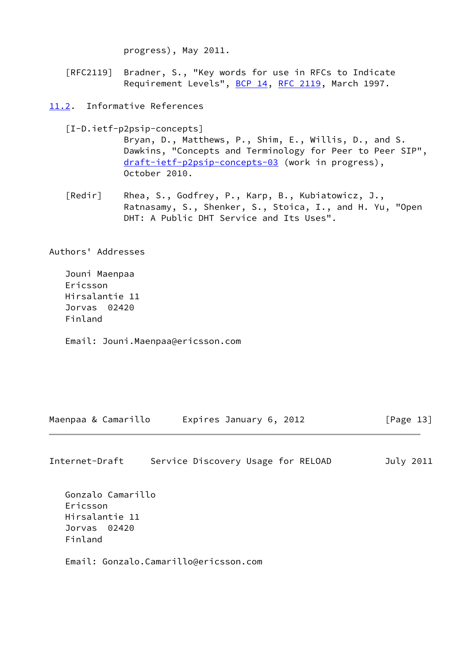progress), May 2011.

 [RFC2119] Bradner, S., "Key words for use in RFCs to Indicate Requirement Levels", [BCP 14](https://datatracker.ietf.org/doc/pdf/bcp14), [RFC 2119](https://datatracker.ietf.org/doc/pdf/rfc2119), March 1997.

<span id="page-14-0"></span>[11.2](#page-14-0). Informative References

<span id="page-14-2"></span> [I-D.ietf-p2psip-concepts] Bryan, D., Matthews, P., Shim, E., Willis, D., and S. Dawkins, "Concepts and Terminology for Peer to Peer SIP", [draft-ietf-p2psip-concepts-03](https://datatracker.ietf.org/doc/pdf/draft-ietf-p2psip-concepts-03) (work in progress), October 2010.

<span id="page-14-1"></span> [Redir] Rhea, S., Godfrey, P., Karp, B., Kubiatowicz, J., Ratnasamy, S., Shenker, S., Stoica, I., and H. Yu, "Open DHT: A Public DHT Service and Its Uses".

Authors' Addresses

 Jouni Maenpaa Ericsson Hirsalantie 11 Jorvas 02420 Finland

Email: Jouni.Maenpaa@ericsson.com

Maenpaa & Camarillo Expires January 6, 2012 [Page 13]

Internet-Draft Service Discovery Usage for RELOAD July 2011

 Gonzalo Camarillo Ericsson Hirsalantie 11 Jorvas 02420 Finland

Email: Gonzalo.Camarillo@ericsson.com